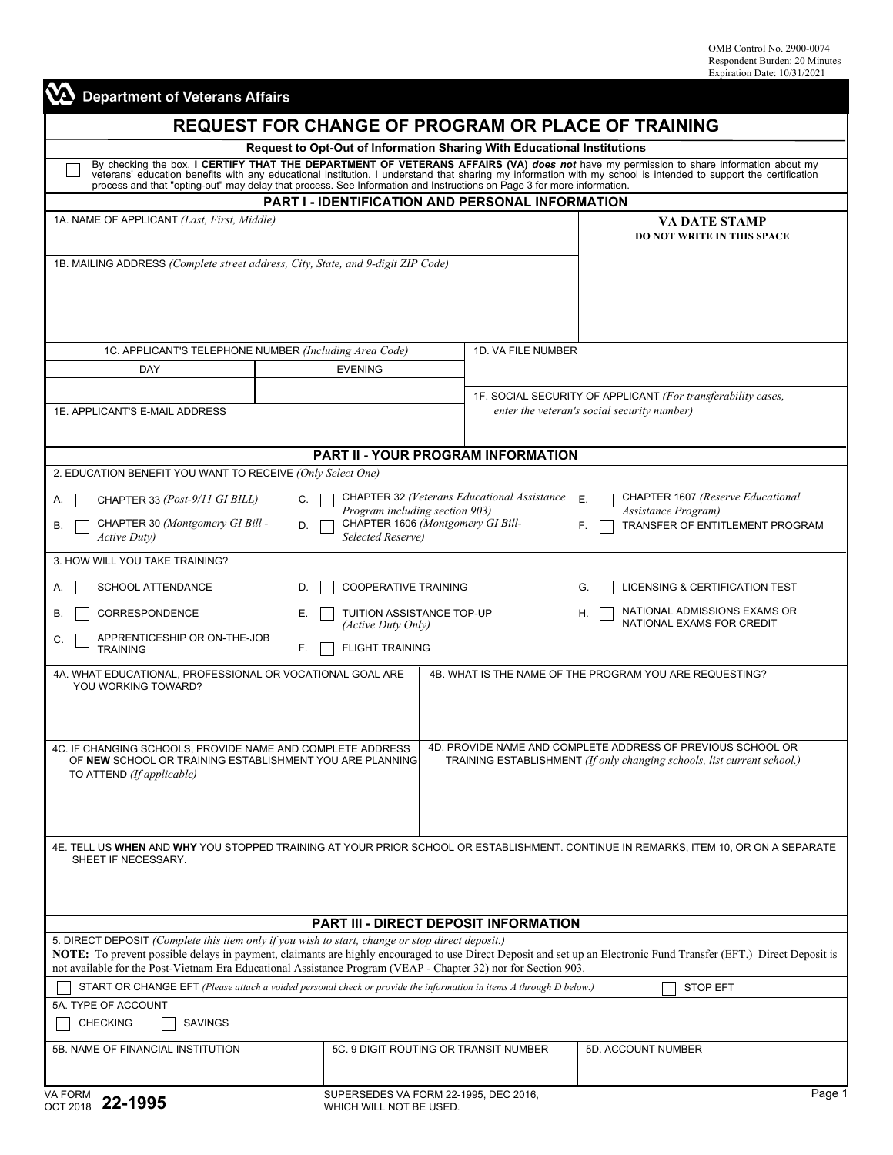| <b>VA</b> Department of Veterans Affairs                                                                                                                                                                                                         |                                                                                                |                                                                                              |                                                                                                                                                                                                                                |  |  |  |
|--------------------------------------------------------------------------------------------------------------------------------------------------------------------------------------------------------------------------------------------------|------------------------------------------------------------------------------------------------|----------------------------------------------------------------------------------------------|--------------------------------------------------------------------------------------------------------------------------------------------------------------------------------------------------------------------------------|--|--|--|
| <b>REQUEST FOR CHANGE OF PROGRAM OR PLACE OF TRAINING</b>                                                                                                                                                                                        |                                                                                                |                                                                                              |                                                                                                                                                                                                                                |  |  |  |
| <b>Request to Opt-Out of Information Sharing With Educational Institutions</b>                                                                                                                                                                   |                                                                                                |                                                                                              |                                                                                                                                                                                                                                |  |  |  |
| process and that "opting-out" may delay that process. See Information and Instructions on Page 3 for more information.                                                                                                                           |                                                                                                |                                                                                              | By checking the box, I CERTIFY THAT THE DEPARTMENT OF VETERANS AFFAIRS (VA) does not have my permission to share information about my veterans' education benefits with any educational institution. I understand that sharing |  |  |  |
| <b>PART I - IDENTIFICATION AND PERSONAL INFORMATION</b>                                                                                                                                                                                          |                                                                                                |                                                                                              |                                                                                                                                                                                                                                |  |  |  |
| 1A. NAME OF APPLICANT (Last, First, Middle)                                                                                                                                                                                                      |                                                                                                |                                                                                              | <b>VA DATE STAMP</b><br><b>DO NOT WRITE IN THIS SPACE</b>                                                                                                                                                                      |  |  |  |
| 1B. MAILING ADDRESS (Complete street address, City, State, and 9-digit ZIP Code)                                                                                                                                                                 |                                                                                                |                                                                                              |                                                                                                                                                                                                                                |  |  |  |
|                                                                                                                                                                                                                                                  |                                                                                                |                                                                                              |                                                                                                                                                                                                                                |  |  |  |
| 1C. APPLICANT'S TELEPHONE NUMBER (Including Area Code)                                                                                                                                                                                           |                                                                                                | 1D. VA FILE NUMBER                                                                           |                                                                                                                                                                                                                                |  |  |  |
| DAY                                                                                                                                                                                                                                              | <b>EVENING</b>                                                                                 |                                                                                              |                                                                                                                                                                                                                                |  |  |  |
|                                                                                                                                                                                                                                                  |                                                                                                |                                                                                              | 1F. SOCIAL SECURITY OF APPLICANT (For transferability cases,                                                                                                                                                                   |  |  |  |
| 1E. APPLICANT'S E-MAIL ADDRESS                                                                                                                                                                                                                   |                                                                                                |                                                                                              | enter the veteran's social security number)                                                                                                                                                                                    |  |  |  |
|                                                                                                                                                                                                                                                  |                                                                                                | <b>PART II - YOUR PROGRAM INFORMATION</b>                                                    |                                                                                                                                                                                                                                |  |  |  |
| 2. EDUCATION BENEFIT YOU WANT TO RECEIVE (Only Select One)                                                                                                                                                                                       |                                                                                                |                                                                                              |                                                                                                                                                                                                                                |  |  |  |
| CHAPTER 33 (Post-9/11 GI BILL)<br>А.                                                                                                                                                                                                             | C.                                                                                             | <b>CHAPTER 32 (Veterans Educational Assistance</b>                                           | CHAPTER 1607 (Reserve Educational<br>Е.                                                                                                                                                                                        |  |  |  |
| CHAPTER 30 (Montgomery GI Bill -<br>В.<br><b>Active Duty</b> )                                                                                                                                                                                   | Program including section 903)<br>CHAPTER 1606 (Montgomery GI Bill-<br>D.<br>Selected Reserve) |                                                                                              | Assistance Program)<br>TRANSFER OF ENTITLEMENT PROGRAM<br>F.                                                                                                                                                                   |  |  |  |
| 3. HOW WILL YOU TAKE TRAINING?                                                                                                                                                                                                                   |                                                                                                |                                                                                              |                                                                                                                                                                                                                                |  |  |  |
| <b>SCHOOL ATTENDANCE</b><br>A.                                                                                                                                                                                                                   | <b>COOPERATIVE TRAINING</b><br>LICENSING & CERTIFICATION TEST<br>D.<br>G.                      |                                                                                              |                                                                                                                                                                                                                                |  |  |  |
| CORRESPONDENCE<br>В.                                                                                                                                                                                                                             | Е.<br>(Active Duty Only)                                                                       | NATIONAL ADMISSIONS EXAMS OR<br>TUITION ASSISTANCE TOP-UP<br>Н.<br>NATIONAL EXAMS FOR CREDIT |                                                                                                                                                                                                                                |  |  |  |
| APPRENTICESHIP OR ON-THE-JOB<br>C<br><b>TRAINING</b>                                                                                                                                                                                             | <b>FLIGHT TRAINING</b><br>F.                                                                   |                                                                                              |                                                                                                                                                                                                                                |  |  |  |
| 4A. WHAT EDUCATIONAL. PROFESSIONAL OR VOCATIONAL GOAL ARE<br>4B. WHAT IS THE NAME OF THE PROGRAM YOU ARE REQUESTING?<br>YOU WORKING TOWARD?                                                                                                      |                                                                                                |                                                                                              |                                                                                                                                                                                                                                |  |  |  |
|                                                                                                                                                                                                                                                  |                                                                                                |                                                                                              |                                                                                                                                                                                                                                |  |  |  |
| 4C. IF CHANGING SCHOOLS, PROVIDE NAME AND COMPLETE ADDRESS<br>OF NEW SCHOOL OR TRAINING ESTABLISHMENT YOU ARE PLANNING                                                                                                                           |                                                                                                |                                                                                              | 4D. PROVIDE NAME AND COMPLETE ADDRESS OF PREVIOUS SCHOOL OR<br>TRAINING ESTABLISHMENT (If only changing schools, list current school.)                                                                                         |  |  |  |
| TO ATTEND (If applicable)                                                                                                                                                                                                                        |                                                                                                |                                                                                              |                                                                                                                                                                                                                                |  |  |  |
|                                                                                                                                                                                                                                                  |                                                                                                |                                                                                              |                                                                                                                                                                                                                                |  |  |  |
| SHEET IF NECESSARY.                                                                                                                                                                                                                              |                                                                                                |                                                                                              | 4E. TELL US WHEN AND WHY YOU STOPPED TRAINING AT YOUR PRIOR SCHOOL OR ESTABLISHMENT. CONTINUE IN REMARKS, ITEM 10, OR ON A SEPARATE                                                                                            |  |  |  |
|                                                                                                                                                                                                                                                  |                                                                                                |                                                                                              |                                                                                                                                                                                                                                |  |  |  |
| PART III - DIRECT DEPOSIT INFORMATION                                                                                                                                                                                                            |                                                                                                |                                                                                              |                                                                                                                                                                                                                                |  |  |  |
| 5. DIRECT DEPOSIT (Complete this item only if you wish to start, change or stop direct deposit.)                                                                                                                                                 |                                                                                                |                                                                                              | NOTE: To prevent possible delays in payment, claimants are highly encouraged to use Direct Deposit and set up an Electronic Fund Transfer (EFT.) Direct Deposit is                                                             |  |  |  |
| not available for the Post-Vietnam Era Educational Assistance Program (VEAP - Chapter 32) nor for Section 903.<br>START OR CHANGE EFT (Please attach a voided personal check or provide the information in items A through D below.)<br>STOP EFT |                                                                                                |                                                                                              |                                                                                                                                                                                                                                |  |  |  |
| 5A. TYPE OF ACCOUNT<br><b>CHECKING</b><br><b>SAVINGS</b>                                                                                                                                                                                         |                                                                                                |                                                                                              |                                                                                                                                                                                                                                |  |  |  |
| 5B. NAME OF FINANCIAL INSTITUTION                                                                                                                                                                                                                | 5C. 9 DIGIT ROUTING OR TRANSIT NUMBER<br>5D. ACCOUNT NUMBER                                    |                                                                                              |                                                                                                                                                                                                                                |  |  |  |
|                                                                                                                                                                                                                                                  |                                                                                                |                                                                                              |                                                                                                                                                                                                                                |  |  |  |
| VA FORM<br>22-1995<br><b>OCT 2018</b>                                                                                                                                                                                                            | SUPERSEDES VA FORM 22-1995, DEC 2016,<br>WHICH WILL NOT BE USED.                               |                                                                                              | Page 1                                                                                                                                                                                                                         |  |  |  |

Б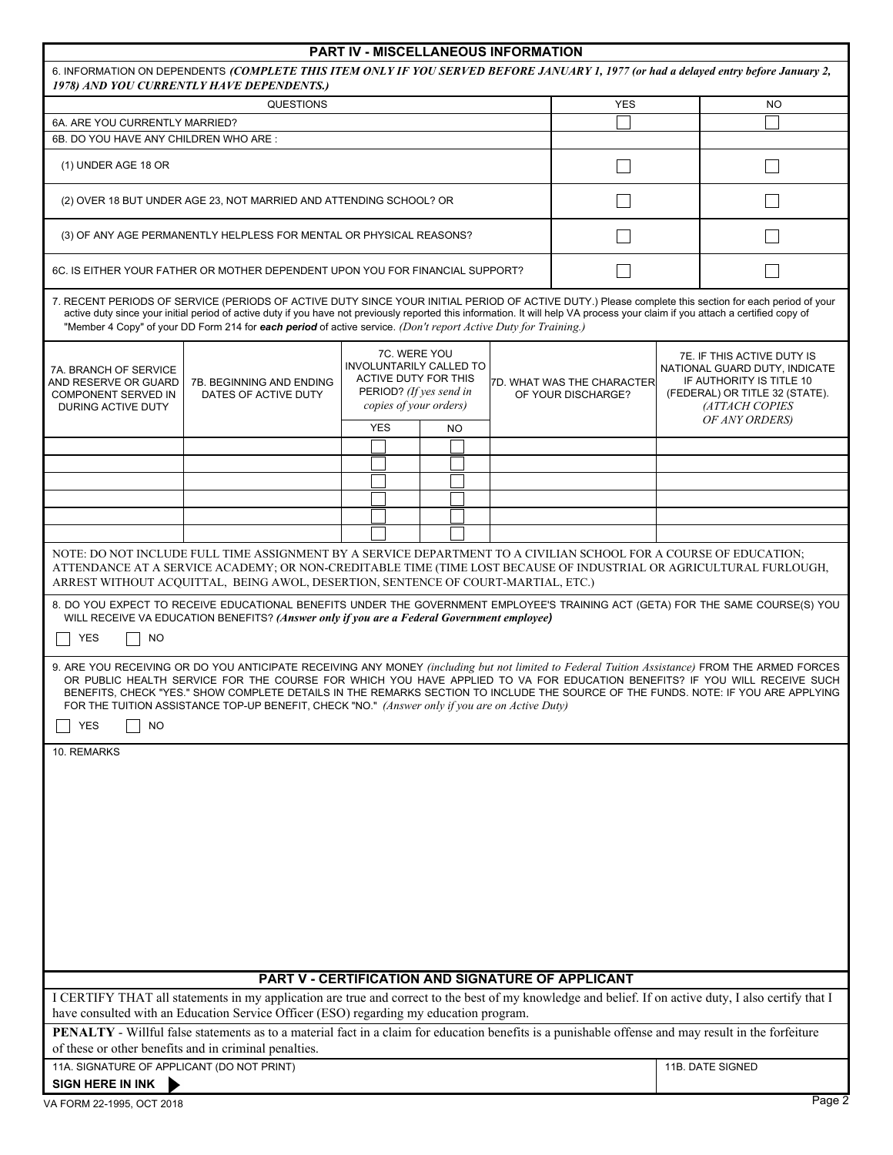| <b>PART IV - MISCELLANEOUS INFORMATION</b>                                                                                                                                        |                                                                                                                                                                                                                                                                                                                                                                                                                                                                                                                                                                                                                                                                                                                                                    |                                                                                                                             |            |  |            |                                                  |           |                                                                                                                                             |  |                  |
|-----------------------------------------------------------------------------------------------------------------------------------------------------------------------------------|----------------------------------------------------------------------------------------------------------------------------------------------------------------------------------------------------------------------------------------------------------------------------------------------------------------------------------------------------------------------------------------------------------------------------------------------------------------------------------------------------------------------------------------------------------------------------------------------------------------------------------------------------------------------------------------------------------------------------------------------------|-----------------------------------------------------------------------------------------------------------------------------|------------|--|------------|--------------------------------------------------|-----------|---------------------------------------------------------------------------------------------------------------------------------------------|--|------------------|
| 6. INFORMATION ON DEPENDENTS (COMPLETE THIS ITEM ONLY IF YOU SERVED BEFORE JANUARY 1, 1977 (or had a delayed entry before January 2,<br>1978) AND YOU CURRENTLY HAVE DEPENDENTS.) |                                                                                                                                                                                                                                                                                                                                                                                                                                                                                                                                                                                                                                                                                                                                                    |                                                                                                                             |            |  |            |                                                  |           |                                                                                                                                             |  |                  |
| <b>QUESTIONS</b>                                                                                                                                                                  |                                                                                                                                                                                                                                                                                                                                                                                                                                                                                                                                                                                                                                                                                                                                                    |                                                                                                                             |            |  | <b>YES</b> |                                                  | <b>NO</b> |                                                                                                                                             |  |                  |
| 6A. ARE YOU CURRENTLY MARRIED?                                                                                                                                                    |                                                                                                                                                                                                                                                                                                                                                                                                                                                                                                                                                                                                                                                                                                                                                    |                                                                                                                             |            |  |            |                                                  |           |                                                                                                                                             |  |                  |
| 6B. DO YOU HAVE ANY CHILDREN WHO ARE:                                                                                                                                             |                                                                                                                                                                                                                                                                                                                                                                                                                                                                                                                                                                                                                                                                                                                                                    |                                                                                                                             |            |  |            |                                                  |           |                                                                                                                                             |  |                  |
| (1) UNDER AGE 18 OR                                                                                                                                                               |                                                                                                                                                                                                                                                                                                                                                                                                                                                                                                                                                                                                                                                                                                                                                    |                                                                                                                             |            |  |            |                                                  |           |                                                                                                                                             |  |                  |
|                                                                                                                                                                                   | (2) OVER 18 BUT UNDER AGE 23, NOT MARRIED AND ATTENDING SCHOOL? OR                                                                                                                                                                                                                                                                                                                                                                                                                                                                                                                                                                                                                                                                                 |                                                                                                                             |            |  |            |                                                  |           |                                                                                                                                             |  |                  |
|                                                                                                                                                                                   | (3) OF ANY AGE PERMANENTLY HELPLESS FOR MENTAL OR PHYSICAL REASONS?                                                                                                                                                                                                                                                                                                                                                                                                                                                                                                                                                                                                                                                                                |                                                                                                                             |            |  |            |                                                  |           |                                                                                                                                             |  |                  |
| 6C. IS EITHER YOUR FATHER OR MOTHER DEPENDENT UPON YOU FOR FINANCIAL SUPPORT?                                                                                                     |                                                                                                                                                                                                                                                                                                                                                                                                                                                                                                                                                                                                                                                                                                                                                    |                                                                                                                             |            |  |            |                                                  |           |                                                                                                                                             |  |                  |
|                                                                                                                                                                                   | 7. RECENT PERIODS OF SERVICE (PERIODS OF ACTIVE DUTY SINCE YOUR INITIAL PERIOD OF ACTIVE DUTY.) Please complete this section for each period of your<br>active duty since your initial period of active duty if you have not previously reported this information. It will help VA process your claim if you attach a certified copy of<br>"Member 4 Copy" of your DD Form 214 for each period of active service. (Don't report Active Duty for Training.)                                                                                                                                                                                                                                                                                         |                                                                                                                             |            |  |            |                                                  |           |                                                                                                                                             |  |                  |
| 7A. BRANCH OF SERVICE<br>7B. BEGINNING AND ENDING<br>AND RESERVE OR GUARD<br>COMPONENT SERVED IN<br>DATES OF ACTIVE DUTY<br>DURING ACTIVE DUTY                                    |                                                                                                                                                                                                                                                                                                                                                                                                                                                                                                                                                                                                                                                                                                                                                    | 7C. WERE YOU<br>INVOLUNTARILY CALLED TO<br><b>ACTIVE DUTY FOR THIS</b><br>PERIOD? (If yes send in<br>copies of your orders) |            |  |            | 7D. WHAT WAS THE CHARACTER<br>OF YOUR DISCHARGE? |           | 7E. IF THIS ACTIVE DUTY IS<br>NATIONAL GUARD DUTY, INDICATE<br>IF AUTHORITY IS TITLE 10<br>(FEDERAL) OR TITLE 32 (STATE).<br>(ATTACH COPIES |  |                  |
|                                                                                                                                                                                   |                                                                                                                                                                                                                                                                                                                                                                                                                                                                                                                                                                                                                                                                                                                                                    |                                                                                                                             | <b>YES</b> |  | NO         |                                                  |           |                                                                                                                                             |  | OF ANY ORDERS)   |
|                                                                                                                                                                                   |                                                                                                                                                                                                                                                                                                                                                                                                                                                                                                                                                                                                                                                                                                                                                    |                                                                                                                             |            |  |            |                                                  |           |                                                                                                                                             |  |                  |
|                                                                                                                                                                                   |                                                                                                                                                                                                                                                                                                                                                                                                                                                                                                                                                                                                                                                                                                                                                    |                                                                                                                             |            |  |            |                                                  |           |                                                                                                                                             |  |                  |
|                                                                                                                                                                                   |                                                                                                                                                                                                                                                                                                                                                                                                                                                                                                                                                                                                                                                                                                                                                    |                                                                                                                             |            |  |            |                                                  |           |                                                                                                                                             |  |                  |
|                                                                                                                                                                                   |                                                                                                                                                                                                                                                                                                                                                                                                                                                                                                                                                                                                                                                                                                                                                    |                                                                                                                             |            |  |            |                                                  |           |                                                                                                                                             |  |                  |
|                                                                                                                                                                                   |                                                                                                                                                                                                                                                                                                                                                                                                                                                                                                                                                                                                                                                                                                                                                    |                                                                                                                             |            |  |            |                                                  |           |                                                                                                                                             |  |                  |
| <b>YES</b><br><b>NO</b><br><b>YES</b><br><b>NO</b><br>10. REMARKS                                                                                                                 | 8. DO YOU EXPECT TO RECEIVE EDUCATIONAL BENEFITS UNDER THE GOVERNMENT EMPLOYEE'S TRAINING ACT (GETA) FOR THE SAME COURSE(S) YOU<br>WILL RECEIVE VA EDUCATION BENEFITS? (Answer only if you are a Federal Government employee)<br>9. ARE YOU RECEIVING OR DO YOU ANTICIPATE RECEIVING ANY MONEY (including but not limited to Federal Tuition Assistance) FROM THE ARMED FORCES<br>OR PUBLIC HEALTH SERVICE FOR THE COURSE FOR WHICH YOU HAVE APPLIED TO VA FOR EDUCATION BENEFITS? IF YOU WILL RECEIVE SUCH<br>BENEFITS, CHECK "YES." SHOW COMPLETE DETAILS IN THE REMARKS SECTION TO INCLUDE THE SOURCE OF THE FUNDS. NOTE: IF YOU ARE APPLYING<br>FOR THE TUITION ASSISTANCE TOP-UP BENEFIT, CHECK "NO." (Answer only if you are on Active Duty) |                                                                                                                             |            |  |            |                                                  |           |                                                                                                                                             |  |                  |
| 11A. SIGNATURE OF APPLICANT (DO NOT PRINT)<br>SIGN HERE IN INK                                                                                                                    | I CERTIFY THAT all statements in my application are true and correct to the best of my knowledge and belief. If on active duty, I also certify that I<br>have consulted with an Education Service Officer (ESO) regarding my education program.<br><b>PENALTY</b> - Willful false statements as to a material fact in a claim for education benefits is a punishable offense and may result in the forfeiture<br>of these or other benefits and in criminal penalties.                                                                                                                                                                                                                                                                             |                                                                                                                             |            |  |            |                                                  |           | PART V - CERTIFICATION AND SIGNATURE OF APPLICANT                                                                                           |  | 11B. DATE SIGNED |
|                                                                                                                                                                                   |                                                                                                                                                                                                                                                                                                                                                                                                                                                                                                                                                                                                                                                                                                                                                    |                                                                                                                             |            |  |            |                                                  |           |                                                                                                                                             |  |                  |
| VA FORM 22-1995, OCT 2018                                                                                                                                                         |                                                                                                                                                                                                                                                                                                                                                                                                                                                                                                                                                                                                                                                                                                                                                    |                                                                                                                             |            |  |            |                                                  |           |                                                                                                                                             |  | Page 2           |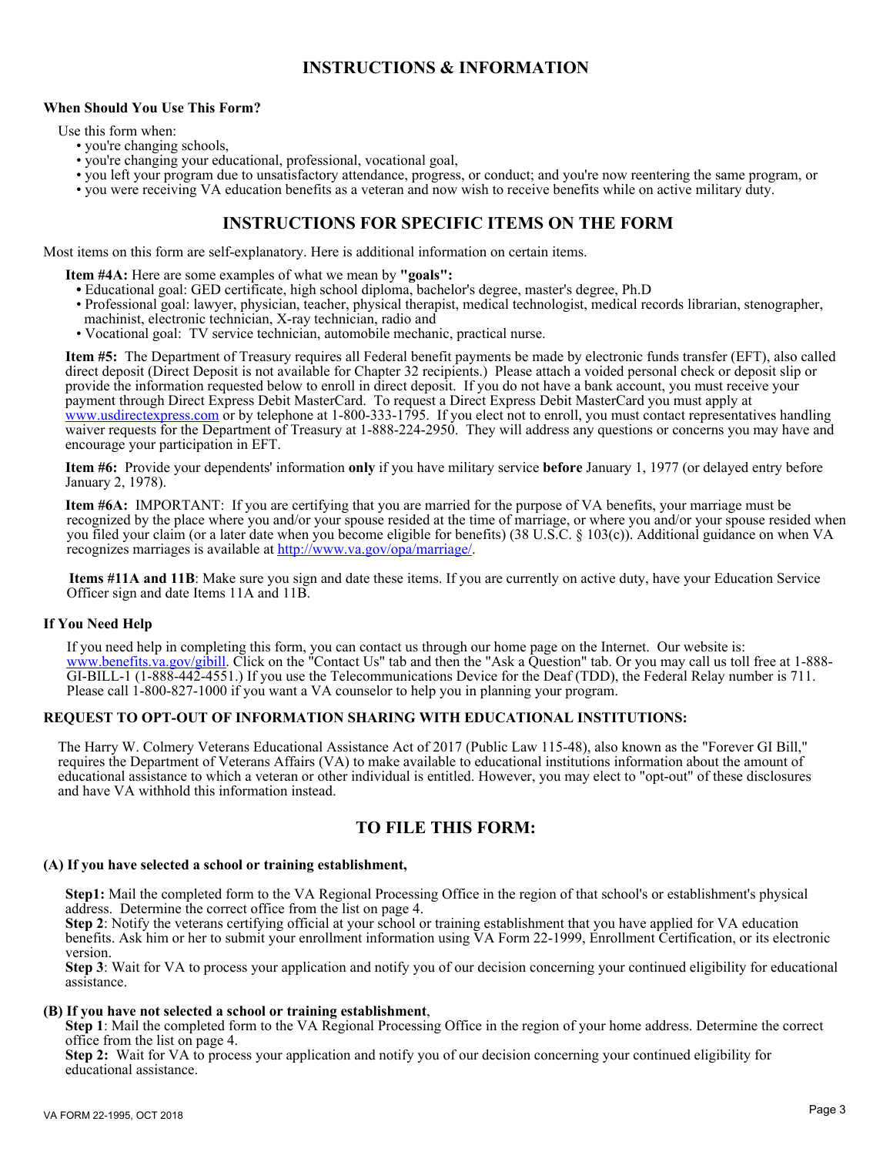# **INSTRUCTIONS & INFORMATION**

#### **When Should You Use This Form?**

Use this form when:

- you're changing schools,
- you're changing your educational, professional, vocational goal,
- you left your program due to unsatisfactory attendance, progress, or conduct; and you're now reentering the same program, or
- you were receiving VA education benefits as a veteran and now wish to receive benefits while on active military duty.

### **INSTRUCTIONS FOR SPECIFIC ITEMS ON THE FORM**

Most items on this form are self-explanatory. Here is additional information on certain items.

**Item #4A:** Here are some examples of what we mean by **"goals":** 

- Educational goal: GED certificate, high school diploma, bachelor's degree, master's degree, Ph.D
- Professional goal: lawyer, physician, teacher, physical therapist, medical technologist, medical records librarian, stenographer,
- machinist, electronic technician, X-ray technician, radio and
- Vocational goal: TV service technician, automobile mechanic, practical nurse.

 **Item #5:** The Department of Treasury requires all Federal benefit payments be made by electronic funds transfer (EFT), also called direct deposit (Direct Deposit is not available for Chapter 32 recipients.) Please attach a voided personal check or deposit slip or provide the information requested below to enroll in direct deposit. If you do not have a bank account, you must receive your payment through Direct Express Debit MasterCard. To request a Direct Express Debit MasterCard you must apply at <www.usdirectexpress.com> or by telephone at 1-800-333-1795. If you elect not to enroll, you must contact representatives handling waiver requests for the Department of Treasury at 1-888-224-2950. They will address any questions or concerns you may have and encourage your participation in EFT.

 **Item #6:** Provide your dependents' information **only** if you have military service **before** January 1, 1977 (or delayed entry before January 2, 1978).

 **Item #6A:** IMPORTANT: If you are certifying that you are married for the purpose of VA benefits, your marriage must be recognized by the place where you and/or your spouse resided at the time of marriage, or where you and/or your spouse resided when you filed your claim (or a later date when you become eligible for benefits) (38 U.S.C. § 103(c)). Additional guidance on when VA recognizes marriages is available at [http://www.va.gov/opa/marriage/.](http://www.va.gov/opa/marriage/)

 **Items #11A and 11B**: Make sure you sign and date these items. If you are currently on active duty, have your Education Service Officer sign and date Items 11A and 11B.

#### **If You Need Help**

If you need help in completing this form, you can contact us through our home page on the Internet. Our website is: [www.benefits.va.gov/gibill.](www.gibill.va.gov/gibill) Click on the "Contact Us" tab and then the "Ask a Question" tab. Or you may call us toll free at 1-888-GI-BILL-1 (1-888-442-4551.) If you use the Telecommunications Device for the Deaf (TDD), the Federal Relay number is 711. Please call 1-800-827-1000 if you want a VA counselor to help you in planning your program.

#### **REQUEST TO OPT-OUT OF INFORMATION SHARING WITH EDUCATIONAL INSTITUTIONS:**

The Harry W. Colmery Veterans Educational Assistance Act of 2017 (Public Law 115-48), also known as the "Forever GI Bill," requires the Department of Veterans Affairs (VA) to make available to educational institutions information about the amount of educational assistance to which a veteran or other individual is entitled. However, you may elect to "opt-out" of these disclosures and have VA withhold this information instead.

## **TO FILE THIS FORM:**

#### **(A) If you have selected a school or training establishment,**

 **Step1:** Mail the completed form to the VA Regional Processing Office in the region of that school's or establishment's physical address. Determine the correct office from the list on page 4.

 **Step 2**: Notify the veterans certifying official at your school or training establishment that you have applied for VA education benefits. Ask him or her to submit your enrollment information using VA Form 22-1999, Enrollment Certification, or its electronic version.

 **Step 3**: Wait for VA to process your application and notify you of our decision concerning your continued eligibility for educational assistance.

#### **(B) If you have not selected a school or training establishment**,

 **Step 1**: Mail the completed form to the VA Regional Processing Office in the region of your home address. Determine the correct office from the list on page 4.

 **Step 2:** Wait for VA to process your application and notify you of our decision concerning your continued eligibility for educational assistance.